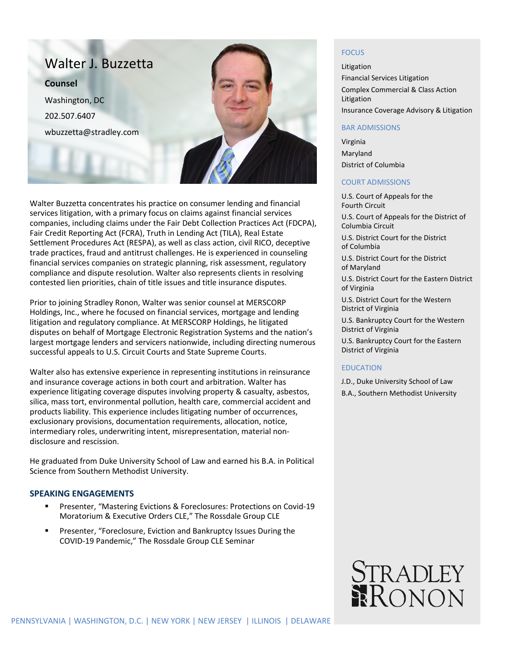

Walter Buzzetta concentrates his practice on consumer lending and financial services litigation, with a primary focus on claims against financial services companies, including claims under the Fair Debt Collection Practices Act (FDCPA), Fair Credit Reporting Act (FCRA), Truth in Lending Act (TILA), Real Estate Settlement Procedures Act (RESPA), as well as class action, civil RICO, deceptive trade practices, fraud and antitrust challenges. He is experienced in counseling financial services companies on strategic planning, risk assessment, regulatory compliance and dispute resolution. Walter also represents clients in resolving contested lien priorities, chain of title issues and title insurance disputes.

Prior to joining Stradley Ronon, Walter was senior counsel at MERSCORP Holdings, Inc., where he focused on financial services, mortgage and lending litigation and regulatory compliance. At MERSCORP Holdings, he litigated disputes on behalf of Mortgage Electronic Registration Systems and the nation's largest mortgage lenders and servicers nationwide, including directing numerous successful appeals to U.S. Circuit Courts and State Supreme Courts.

Walter also has extensive experience in representing institutions in reinsurance and insurance coverage actions in both court and arbitration. Walter has experience litigating coverage disputes involving property & casualty, asbestos, silica, mass tort, environmental pollution, health care, commercial accident and products liability. This experience includes litigating number of occurrences, exclusionary provisions, documentation requirements, allocation, notice, intermediary roles, underwriting intent, misrepresentation, material nondisclosure and rescission.

He graduated from Duke University School of Law and earned his B.A. in Political Science from Southern Methodist University.

### **SPEAKING ENGAGEMENTS**

- Presenter, "Mastering Evictions & Foreclosures: Protections on Covid-19 Moratorium & Executive Orders CLE," The Rossdale Group CLE
- Presenter, "Foreclosure, Eviction and Bankruptcy Issues During the COVID-19 Pandemic," The Rossdale Group CLE Seminar

# **FOCUS**

Litigation Financial Services Litigation Complex Commercial & Class Action Litigation Insurance Coverage Advisory & Litigation

#### BAR ADMISSIONS

Virginia Maryland District of Columbia

### COURT ADMISSIONS

U.S. Court of Appeals for the Fourth Circuit

U.S. Court of Appeals for the District of Columbia Circuit

U.S. District Court for the District of Columbia

U.S. District Court for the District of Maryland

U.S. District Court for the Eastern District of Virginia

U.S. District Court for the Western District of Virginia

U.S. Bankruptcy Court for the Western District of Virginia

U.S. Bankruptcy Court for the Eastern District of Virginia

### EDUCATION

J.D., Duke University School of Law

B.A., Southern Methodist University